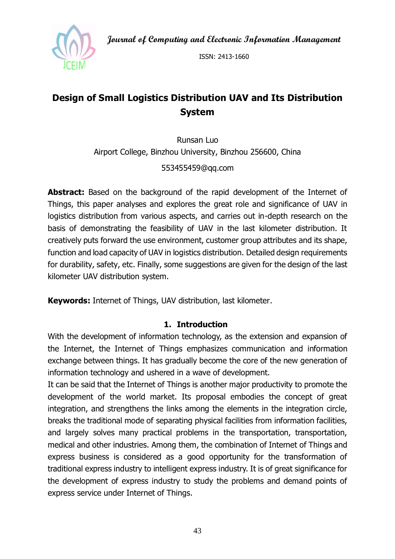**Journal of Computing and Electronic Information Management**



ISSN: 2413-1660

# **Design of Small Logistics Distribution UAV and Its Distribution System**

Runsan Luo Airport College, Binzhou University, Binzhou 256600, China 553455459@qq.com

**Abstract:** Based on the background of the rapid development of the Internet of Things, this paper analyses and explores the great role and significance of UAV in logistics distribution from various aspects, and carries out in-depth research on the basis of demonstrating the feasibility of UAV in the last kilometer distribution. It creatively puts forward the use environment, customer group attributes and its shape, function and load capacity of UAV in logistics distribution. Detailed design requirements for durability, safety, etc. Finally, some suggestions are given for the design of the last kilometer UAV distribution system.

**Keywords:** Internet of Things, UAV distribution, last kilometer.

### **1. Introduction**

With the development of information technology, as the extension and expansion of the Internet, the Internet of Things emphasizes communication and information exchange between things. It has gradually become the core of the new generation of information technology and ushered in a wave of development.

It can be said that the Internet of Things is another major productivity to promote the development of the world market. Its proposal embodies the concept of great integration, and strengthens the links among the elements in the integration circle, breaks the traditional mode of separating physical facilities from information facilities, and largely solves many practical problems in the transportation, transportation, medical and other industries. Among them, the combination of Internet of Things and express business is considered as a good opportunity for the transformation of traditional express industry to intelligent express industry. It is of great significance for the development of express industry to study the problems and demand points of express service under Internet of Things.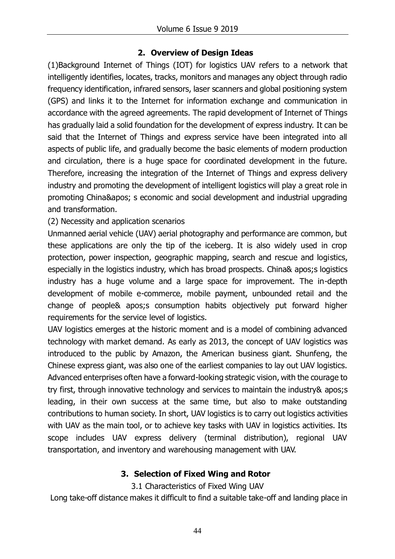## **2. Overview of Design Ideas**

(1)Background Internet of Things (IOT) for logistics UAV refers to a network that intelligently identifies, locates, tracks, monitors and manages any object through radio frequency identification, infrared sensors, laser scanners and global positioning system (GPS) and links it to the Internet for information exchange and communication in accordance with the agreed agreements. The rapid development of Internet of Things has gradually laid a solid foundation for the development of express industry. It can be said that the Internet of Things and express service have been integrated into all aspects of public life, and gradually become the basic elements of modern production and circulation, there is a huge space for coordinated development in the future. Therefore, increasing the integration of the Internet of Things and express delivery industry and promoting the development of intelligent logistics will play a great role in promoting China' s economic and social development and industrial upgrading and transformation.

(2) Necessity and application scenarios

Unmanned aerial vehicle (UAV) aerial photography and performance are common, but these applications are only the tip of the iceberg. It is also widely used in crop protection, power inspection, geographic mapping, search and rescue and logistics, especially in the logistics industry, which has broad prospects. China& apos;s logistics industry has a huge volume and a large space for improvement. The in-depth development of mobile e-commerce, mobile payment, unbounded retail and the change of people& apos;s consumption habits objectively put forward higher requirements for the service level of logistics.

UAV logistics emerges at the historic moment and is a model of combining advanced technology with market demand. As early as 2013, the concept of UAV logistics was introduced to the public by Amazon, the American business giant. Shunfeng, the Chinese express giant, was also one of the earliest companies to lay out UAV logistics. Advanced enterprises often have a forward-looking strategic vision, with the courage to try first, through innovative technology and services to maintain the industry& apos;s leading, in their own success at the same time, but also to make outstanding contributions to human society. In short, UAV logistics is to carry out logistics activities with UAV as the main tool, or to achieve key tasks with UAV in logistics activities. Its scope includes UAV express delivery (terminal distribution), regional UAV transportation, and inventory and warehousing management with UAV.

### **3. Selection of Fixed Wing and Rotor**

3.1 Characteristics of Fixed Wing UAV

Long take-off distance makes it difficult to find a suitable take-off and landing place in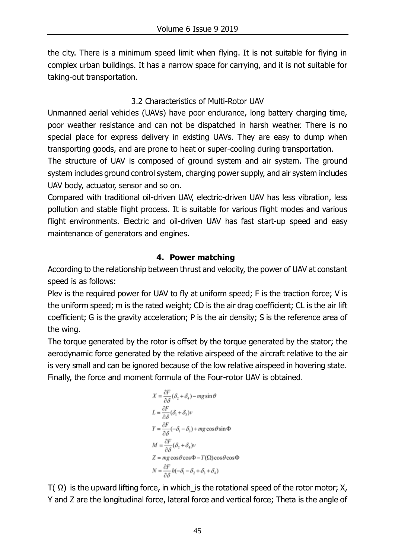the city. There is a minimum speed limit when flying. It is not suitable for flying in complex urban buildings. It has a narrow space for carrying, and it is not suitable for taking-out transportation.

# 3.2 Characteristics of Multi-Rotor UAV

Unmanned aerial vehicles (UAVs) have poor endurance, long battery charging time, poor weather resistance and can not be dispatched in harsh weather. There is no special place for express delivery in existing UAVs. They are easy to dump when transporting goods, and are prone to heat or super-cooling during transportation.

The structure of UAV is composed of ground system and air system. The ground system includes ground control system, charging power supply, and air system includes UAV body, actuator, sensor and so on.

Compared with traditional oil-driven UAV, electric-driven UAV has less vibration, less pollution and stable flight process. It is suitable for various flight modes and various flight environments. Electric and oil-driven UAV has fast start-up speed and easy maintenance of generators and engines.

# **4. Power matching**

According to the relationship between thrust and velocity, the power of UAV at constant speed is as follows:

Plev is the required power for UAV to fly at uniform speed; F is the traction force; V is the uniform speed; m is the rated weight; CD is the air drag coefficient; CL is the air lift coefficient; G is the gravity acceleration; P is the air density; S is the reference area of the wing.

The torque generated by the rotor is offset by the torque generated by the stator; the aerodynamic force generated by the relative airspeed of the aircraft relative to the air is very small and can be ignored because of the low relative airspeed in hovering state. Finally, the force and moment formula of the Four-rotor UAV is obtained.

$$
X = \frac{\partial F}{\partial \delta} (\delta_2 + \delta_4) - mg \sin \theta
$$
  
\n
$$
L = \frac{\partial F}{\partial \delta} (\delta_1 + \delta_3) v
$$
  
\n
$$
Y = \frac{\partial F}{\partial \delta} (-\delta_1 - \delta_3) + mg \cos \theta \sin \Phi
$$
  
\n
$$
M = \frac{\partial F}{\partial \delta} (\delta_2 + \delta_4) v
$$
  
\n
$$
Z = mg \cos \theta \cos \Phi - T(\Omega) \cos \theta \cos \Phi
$$
  
\n
$$
N = \frac{\partial F}{\partial \delta} h(-\delta_1 - \delta_2 + \delta_3 + \delta_4)
$$

 $T(\Omega)$  is the upward lifting force, in which is the rotational speed of the rotor motor; X, Y and Z are the longitudinal force, lateral force and vertical force; Theta is the angle of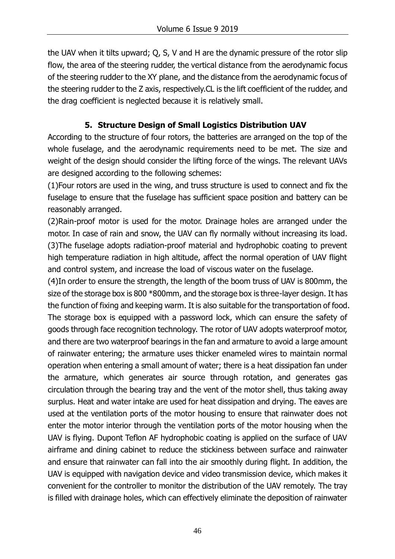the UAV when it tilts upward; Q, S, V and H are the dynamic pressure of the rotor slip flow, the area of the steering rudder, the vertical distance from the aerodynamic focus of the steering rudder to the XY plane, and the distance from the aerodynamic focus of the steering rudder to the Z axis, respectively.CL is the lift coefficient of the rudder, and the drag coefficient is neglected because it is relatively small.

# **5. Structure Design of Small Logistics Distribution UAV**

According to the structure of four rotors, the batteries are arranged on the top of the whole fuselage, and the aerodynamic requirements need to be met. The size and weight of the design should consider the lifting force of the wings. The relevant UAVs are designed according to the following schemes:

(1)Four rotors are used in the wing, and truss structure is used to connect and fix the fuselage to ensure that the fuselage has sufficient space position and battery can be reasonably arranged.

(2)Rain-proof motor is used for the motor. Drainage holes are arranged under the motor. In case of rain and snow, the UAV can fly normally without increasing its load. (3)The fuselage adopts radiation-proof material and hydrophobic coating to prevent high temperature radiation in high altitude, affect the normal operation of UAV flight and control system, and increase the load of viscous water on the fuselage.

(4)In order to ensure the strength, the length of the boom truss of UAV is 800mm, the size of the storage box is 800 \*800mm, and the storage box is three-layer design. It has the function of fixing and keeping warm. It is also suitable for the transportation of food. The storage box is equipped with a password lock, which can ensure the safety of goods through face recognition technology. The rotor of UAV adopts waterproof motor, and there are two waterproof bearings in the fan and armature to avoid a large amount of rainwater entering; the armature uses thicker enameled wires to maintain normal operation when entering a small amount of water; there is a heat dissipation fan under the armature, which generates air source through rotation, and generates gas circulation through the bearing tray and the vent of the motor shell, thus taking away surplus. Heat and water intake are used for heat dissipation and drying. The eaves are used at the ventilation ports of the motor housing to ensure that rainwater does not enter the motor interior through the ventilation ports of the motor housing when the UAV is flying. Dupont Teflon AF hydrophobic coating is applied on the surface of UAV airframe and dining cabinet to reduce the stickiness between surface and rainwater and ensure that rainwater can fall into the air smoothly during flight. In addition, the UAV is equipped with navigation device and video transmission device, which makes it convenient for the controller to monitor the distribution of the UAV remotely. The tray is filled with drainage holes, which can effectively eliminate the deposition of rainwater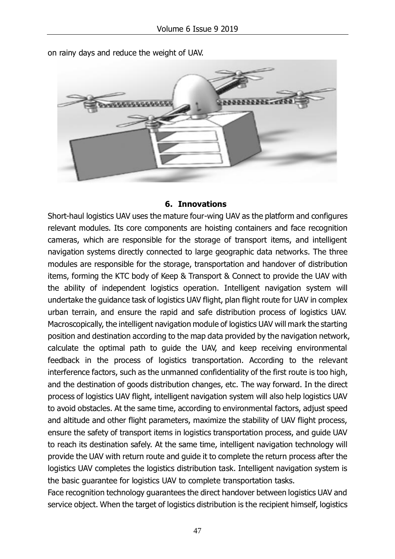

on rainy days and reduce the weight of UAV.

#### **6. Innovations**

Short-haul logistics UAV uses the mature four-wing UAV as the platform and configures relevant modules. Its core components are hoisting containers and face recognition cameras, which are responsible for the storage of transport items, and intelligent navigation systems directly connected to large geographic data networks. The three modules are responsible for the storage, transportation and handover of distribution items, forming the KTC body of Keep & Transport & Connect to provide the UAV with the ability of independent logistics operation. Intelligent navigation system will undertake the guidance task of logistics UAV flight, plan flight route for UAV in complex urban terrain, and ensure the rapid and safe distribution process of logistics UAV. Macroscopically, the intelligent navigation module of logistics UAV will mark the starting position and destination according to the map data provided by the navigation network, calculate the optimal path to guide the UAV, and keep receiving environmental feedback in the process of logistics transportation. According to the relevant interference factors, such as the unmanned confidentiality of the first route is too high, and the destination of goods distribution changes, etc. The way forward. In the direct process of logistics UAV flight, intelligent navigation system will also help logistics UAV to avoid obstacles. At the same time, according to environmental factors, adjust speed and altitude and other flight parameters, maximize the stability of UAV flight process, ensure the safety of transport items in logistics transportation process, and guide UAV to reach its destination safely. At the same time, intelligent navigation technology will provide the UAV with return route and guide it to complete the return process after the logistics UAV completes the logistics distribution task. Intelligent navigation system is the basic guarantee for logistics UAV to complete transportation tasks.

Face recognition technology guarantees the direct handover between logistics UAV and service object. When the target of logistics distribution is the recipient himself, logistics